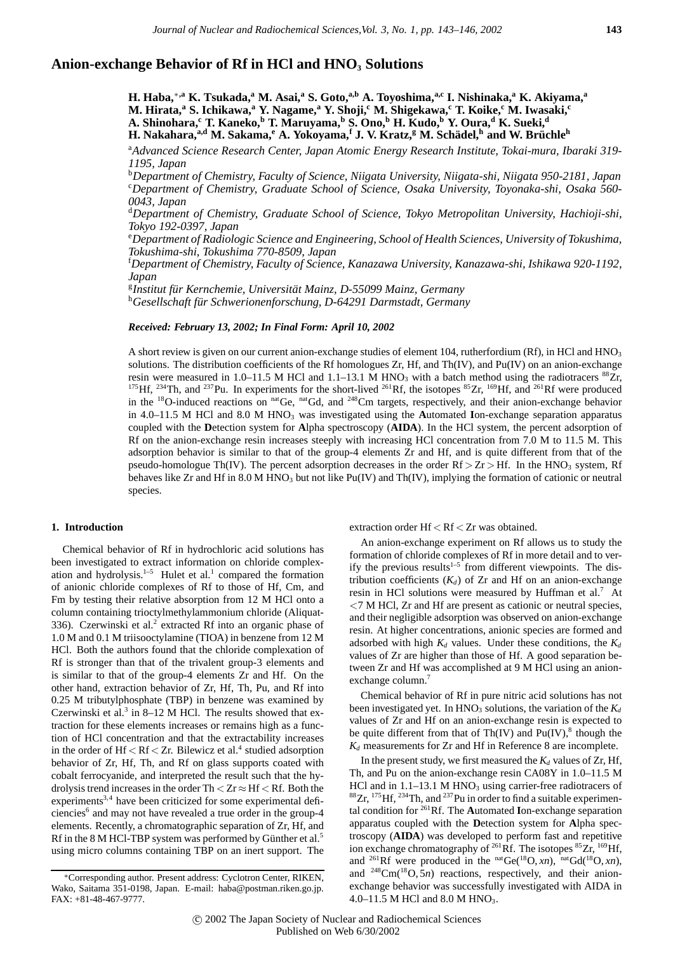# Anion-exchange Behavior of Rf in HCl and HNO<sub>3</sub> Solutions

**H. Haba,**∗**,a K. Tsukada,a M. Asai,<sup>a</sup> S. Goto,a,b A. Toyoshima,a,c I. Nishinaka,a K. Akiyama,<sup>a</sup> M. Hirata,**<sup>a</sup> **S. Ichikawa,**<sup>a</sup> **Y. Nagame,**<sup>a</sup> **Y. Shoji,<sup>c</sup> M. Shigekawa,<sup>c</sup> T. Koike,<sup>c</sup> M. Iwasaki,<sup>c</sup> A. Shinohara,**<sup>c</sup> **T. Kaneko,**<sup>b</sup> **T. Maruyama,**<sup>b</sup> **S. Ono,**<sup>b</sup> **H. Kudo,**<sup>b</sup> **Y. Oura,**<sup>d</sup> **K. Sueki,**<sup>d</sup> **H. Nakahara,**<sup>a,d</sup> M. Sakama,<sup>*e*</sup> A. Yokoyama,<sup>f</sup> J. V. Kratz,<sup>g</sup> M. Schädel,<sup>h</sup> and W. Brüchle<sup>h</sup>

a *Advanced Science Research Center, Japan Atomic Energy Research Institute, Tokai-mura, Ibaraki 319- 1195, Japan*

b *Department of Chemistry, Faculty of Science, Niigata University, Niigata-shi, Niigata 950-2181, Japan* c *Department of Chemistry, Graduate School of Science, Osaka University, Toyonaka-shi, Osaka 560- 0043, Japan*

d *Department of Chemistry, Graduate School of Science, Tokyo Metropolitan University, Hachioji-shi, Tokyo 192-0397, Japan*

e *Department of Radiologic Science and Engineering, School of Health Sciences, University of Tokushima, Tokushima-shi, Tokushima 770-8509, Japan*

f *Department of Chemistry, Faculty of Science, Kanazawa University, Kanazawa-shi, Ishikawa 920-1192, Japan*

<sup>g</sup>Institut für Kernchemie, Universität Mainz, D-55099 Mainz, Germany *Institut fur Kernchemie, Universit ¨ at Mainz, D-55099 Mainz, Germany ¨* <sup>h</sup>*Gesellschaft fur Schwerionenforschung, D-64291 Darmstadt, Germany ¨*

### *Received: February 13, 2002; In Final Form: April 10, 2002*

A short review is given on our current anion-exchange studies of element 104, rutherfordium (Rf), in HCl and HNO<sub>3</sub> solutions. The distribution coefficients of the Rf homologues Zr, Hf, and Th(IV), and Pu(IV) on an anion-exchange resin were measured in 1.0–11.5 M HCl and 1.1–13.1 M HNO<sub>3</sub> with a batch method using the radiotracers <sup>88</sup>Zr, <sup>175</sup>Hf, <sup>234</sup>Th, and <sup>237</sup>Pu. In experiments for the short-lived <sup>261</sup>Rf, the isotopes <sup>85</sup>Zr, <sup>169</sup>Hf, and <sup>261</sup>Rf were produced in the <sup>18</sup>O-induced reactions on <sup>nat</sup>Ge, <sup>nat</sup>Gd, and <sup>248</sup>Cm targets, respectively, and their anion-exchange behavior in 4.0–11.5 M HCl and 8.0 M HNO3 was investigated using the **A**utomated **I**on-exchange separation apparatus coupled with the **D**etection system for **A**lpha spectroscopy (**AIDA**). In the HCl system, the percent adsorption of Rf on the anion-exchange resin increases steeply with increasing HCl concentration from 7.0 M to 11.5 M. This adsorption behavior is similar to that of the group-4 elements Zr and Hf, and is quite different from that of the pseudo-homologue Th(IV). The percent adsorption decreases in the order  $Rf > Zr > Hf$ . In the HNO<sub>3</sub> system, Rf behaves like Zr and Hf in 8.0 M HNO<sub>3</sub> but not like Pu(IV) and Th(IV), implying the formation of cationic or neutral species.

# **1. Introduction**

Chemical behavior of Rf in hydrochloric acid solutions has been investigated to extract information on chloride complexation and hydrolysis.<sup>1–5</sup> Hulet et al.<sup>1</sup> compared the formation of anionic chloride complexes of Rf to those of Hf, Cm, and Fm by testing their relative absorption from 12 M HCl onto a column containing trioctylmethylammonium chloride (Aliquat-336). Czerwinski et al.<sup>2</sup> extracted Rf into an organic phase of 1.0 M and 0.1 M triisooctylamine (TIOA) in benzene from 12 M HCl. Both the authors found that the chloride complexation of Rf is stronger than that of the trivalent group-3 elements and is similar to that of the group-4 elements Zr and Hf. On the other hand, extraction behavior of Zr, Hf, Th, Pu, and Rf into 0.25 M tributylphosphate (TBP) in benzene was examined by Czerwinski et al. $3$  in 8–12 M HCl. The results showed that extraction for these elements increases or remains high as a function of HCl concentration and that the extractability increases in the order of Hf *<* Rf *<* Zr. Bilewicz et al.<sup>4</sup> studied adsorption behavior of Zr, Hf, Th, and Rf on glass supports coated with cobalt ferrocyanide, and interpreted the result such that the hydrolysis trend increases in the order Th *<* Zr ≈ Hf *<* Rf. Both the experiments<sup>3,4</sup> have been criticized for some experimental deficiencies<sup>6</sup> and may not have revealed a true order in the group-4 elements. Recently, a chromatographic separation of Zr, Hf, and Rf in the 8 M HCl-TBP system was performed by Günther et al.<sup>5</sup> using micro columns containing TBP on an inert support. The extraction order Hf *<* Rf *<* Zr was obtained.

An anion-exchange experiment on Rf allows us to study the formation of chloride complexes of Rf in more detail and to verify the previous results<sup>1-5</sup> from different viewpoints. The distribution coefficients  $(K_d)$  of  $Zr$  and Hf on an anion-exchange resin in HCl solutions were measured by Huffman et al.<sup>7</sup> At *<*7 M HCl, Zr and Hf are present as cationic or neutral species, and their negligible adsorption was observed on anion-exchange resin. At higher concentrations, anionic species are formed and adsorbed with high  $K_d$  values. Under these conditions, the  $K_d$ values of Zr are higher than those of Hf. A good separation between Zr and Hf was accomplished at 9 M HCl using an anionexchange column.<sup>7</sup>

Chemical behavior of Rf in pure nitric acid solutions has not been investigated yet. In  $HNO<sub>3</sub>$  solutions, the variation of the  $K<sub>d</sub>$ values of Zr and Hf on an anion-exchange resin is expected to be quite different from that of Th(IV) and  $Pu(IV)$ ,<sup>8</sup> though the  $K_d$  measurements for Zr and Hf in Reference 8 are incomplete.

In the present study, we first measured the  $K_d$  values of Zr, Hf, Th, and Pu on the anion-exchange resin CA08Y in 1.0–11.5 M HCl and in 1.1–13.1 M HNO<sub>3</sub> using carrier-free radiotracers of  $88Zr$ ,  $175$  Hf,  $234$  Th, and  $237$  Pu in order to find a suitable experimental condition for 261Rf. The **A**utomated **I**on-exchange separation apparatus coupled with the **D**etection system for **A**lpha spectroscopy (**AIDA**) was developed to perform fast and repetitive ion exchange chromatography of <sup>261</sup>Rf. The isotopes  ${}^{85}Zr$ ,  ${}^{169}Hf$ , and <sup>261</sup>Rf were produced in the  $<sup>nat</sup>Ge<sup>(18</sup>O, *xn*)$ ,  $<sup>nat</sup>Gd<sup>(18</sup>O, *xn*)$ ,</sup></sup> and  $^{248}$ Cm( $^{18}$ O,  $\overline{5}n$ ) reactions, respectively, and their anionexchange behavior was successfully investigated with AIDA in 4.0–11.5 M HCl and 8.0 M HNO<sub>3</sub>.

<sup>∗</sup>Corresponding author. Present address: Cyclotron Center, RIKEN, Wako, Saitama 351-0198, Japan. E-mail: haba@postman.riken.go.jp. FAX: +81-48-467-9777.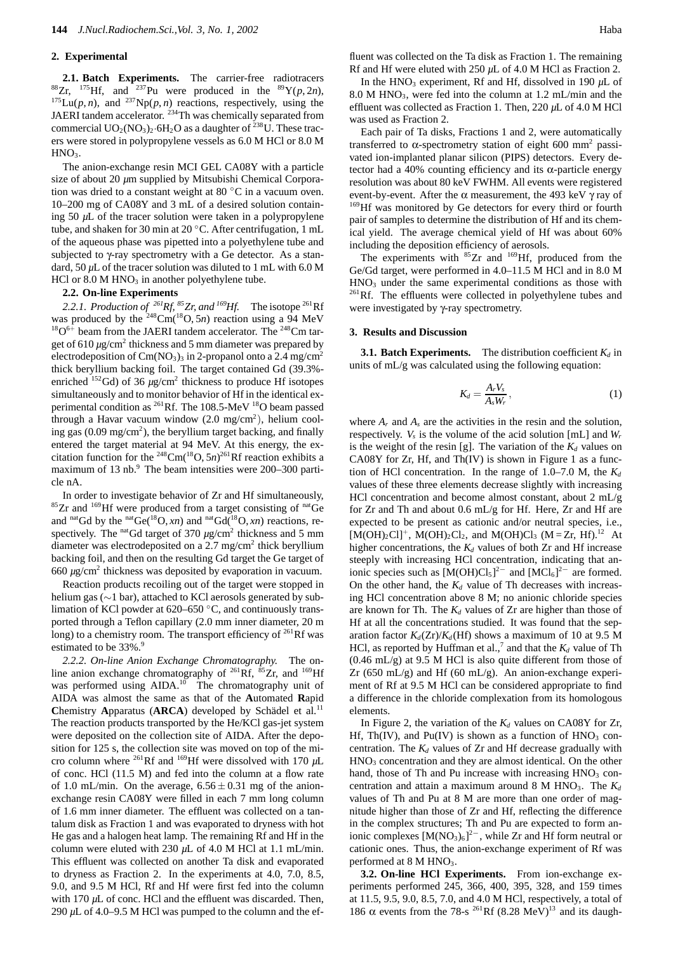## **2. Experimental**

**2.1. Batch Experiments.** The carrier-free radiotracers <sup>88</sup>Zr, <sup>175</sup>Hf, and <sup>237</sup>Pu were produced in the <sup>89</sup>Y(*p*, 2*n*),  $1^{175}$ Lu(*p*, *n*), and  $2^{37}$ Np(*p*, *n*) reactions, respectively, using the JAERI tandem accelerator. <sup>234</sup>Th was chemically separated from commercial  $UO_2(NO_3)_2.6H_2O$  as a daughter of <sup>238</sup>U. These tracers were stored in polypropylene vessels as 6.0 M HCl or 8.0 M HNO<sub>3</sub>.

The anion-exchange resin MCI GEL CA08Y with a particle size of about 20  $\mu$ m supplied by Mitsubishi Chemical Corporation was dried to a constant weight at 80 ◦C in a vacuum oven. 10–200 mg of CA08Y and 3 mL of a desired solution containing 50 *µ*L of the tracer solution were taken in a polypropylene tube, and shaken for 30 min at 20 ◦C. After centrifugation, 1 mL of the aqueous phase was pipetted into a polyethylene tube and subjected to γ-ray spectrometry with a Ge detector. As a standard, 50 *µ*L of the tracer solution was diluted to 1 mL with 6.0 M  $HCl$  or  $8.0 M HNO<sub>3</sub>$  in another polyethylene tube.

#### **2.2. On-line Experiments**

2.2.1. Production of <sup>261</sup>Rf, <sup>85</sup>Zr, and <sup>169</sup>Hf. The isotope <sup>261</sup>Rf was produced by the  $248 \text{Cm}(18\text{O}, 5n)$  reaction using a 94 MeV  $18O^{6+}$  beam from the JAERI tandem accelerator. The  $248$ Cm target of  $610 \mu g/cm^2$  thickness and 5 mm diameter was prepared by electrodeposition of  $Cm(NO<sub>3</sub>)<sub>3</sub>$  in 2-propanol onto a 2.4 mg/cm<sup>2</sup> thick beryllium backing foil. The target contained Gd (39.3% enriched <sup>152</sup>Gd) of 36  $\mu$ g/cm<sup>2</sup> thickness to produce Hf isotopes simultaneously and to monitor behavior of Hf in the identical experimental condition as <sup>261</sup>Rf. The 108.5-MeV <sup>18</sup>O beam passed through a Havar vacuum window (2.0 mg/cm<sup>2</sup>), helium cooling gas  $(0.09 \text{ mg/cm}^2)$ , the beryllium target backing, and finally entered the target material at 94 MeV. At this energy, the excitation function for the <sup>248</sup>Cm(<sup>18</sup>O, 5*n*)<sup>261</sup>Rf reaction exhibits a maximum of 13 nb.<sup>9</sup> The beam intensities were 200–300 particle nA.

In order to investigate behavior of Zr and Hf simultaneously, 85 Zr and <sup>169</sup>Hf were produced from a target consisting of <sup>nat</sup>Ge and <sup>nat</sup>Gd by the <sup>nat</sup>Ge(<sup>18</sup>O, *xn*) and <sup>nat</sup>Gd(<sup>18</sup>O, *xn*) reactions, respectively. The <sup>nat</sup>Gd target of  $370 \mu g/cm^2$  thickness and 5 mm diameter was electrodeposited on a  $2.7 \text{ mg/cm}^2$  thick beryllium backing foil, and then on the resulting Gd target the Ge target of 660 *µ*g/cm2 thickness was deposited by evaporation in vacuum.

Reaction products recoiling out of the target were stopped in helium gas (∼1 bar), attached to KCl aerosols generated by sublimation of KCl powder at 620–650 ◦C, and continuously transported through a Teflon capillary (2.0 mm inner diameter, 20 m long) to a chemistry room. The transport efficiency of  $^{261}$ Rf was estimated to be 33%.<sup>9</sup>

*2.2.2. On-line Anion Exchange Chromatography.* The online anion exchange chromatography of <sup>261</sup>Rf, <sup>85</sup>Zr, and <sup>169</sup>Hf was performed using AIDA.<sup>10</sup> The chromatography unit of AIDA was almost the same as that of the **A**utomated **R**apid **Chemistry Apparatus (ARCA) developed by Schädel et al.<sup>11</sup>** The reaction products transported by the He/KCl gas-jet system were deposited on the collection site of AIDA. After the deposition for 125 s, the collection site was moved on top of the micro column where 261Rf and 169Hf were dissolved with 170 *µ*L of conc. HCl (11.5 M) and fed into the column at a flow rate of 1.0 mL/min. On the average,  $6.56 \pm 0.31$  mg of the anionexchange resin CA08Y were filled in each 7 mm long column of 1.6 mm inner diameter. The effluent was collected on a tantalum disk as Fraction 1 and was evaporated to dryness with hot He gas and a halogen heat lamp. The remaining Rf and Hf in the column were eluted with 230 *µ*L of 4.0 M HCl at 1.1 mL/min. This effluent was collected on another Ta disk and evaporated to dryness as Fraction 2. In the experiments at 4.0, 7.0, 8.5, 9.0, and 9.5 M HCl, Rf and Hf were first fed into the column with 170  $\mu$ L of conc. HCl and the effluent was discarded. Then, 290 *µ*L of 4.0–9.5 M HCl was pumped to the column and the effluent was collected on the Ta disk as Fraction 1. The remaining Rf and Hf were eluted with 250  $\mu$ L of 4.0 M HCl as Fraction 2.

In the HNO<sub>3</sub> experiment, Rf and Hf, dissolved in 190  $\mu$ L of 8.0 M HNO3, were fed into the column at 1.2 mL/min and the effluent was collected as Fraction 1. Then, 220 *µ*L of 4.0 M HCl was used as Fraction 2.

Each pair of Ta disks, Fractions 1 and 2, were automatically transferred to  $\alpha$ -spectrometry station of eight 600 mm<sup>2</sup> passivated ion-implanted planar silicon (PIPS) detectors. Every detector had a 40% counting efficiency and its  $\alpha$ -particle energy resolution was about 80 keV FWHM. All events were registered event-by-event. After the  $\alpha$  measurement, the 493 keV  $\gamma$  ray of <sup>169</sup>Hf was monitored by Ge detectors for every third or fourth pair of samples to determine the distribution of Hf and its chemical yield. The average chemical yield of Hf was about 60% including the deposition efficiency of aerosols.

The experiments with  ${}^{85}Zr$  and  ${}^{169}Hf$ , produced from the Ge/Gd target, were performed in 4.0–11.5 M HCl and in 8.0 M  $HNO<sub>3</sub>$  under the same experimental conditions as those with  $^{261}$ Rf. The effluents were collected in polyethylene tubes and were investigated by γ-ray spectrometry.

#### **3. Results and Discussion**

**3.1. Batch Experiments.** The distribution coefficient  $K_d$  in units of mL/g was calculated using the following equation:

$$
K_d = \frac{A_r V_s}{A_s W_r},\tag{1}
$$

where  $A_r$  and  $A_s$  are the activities in the resin and the solution, respectively.  $V_s$  is the volume of the acid solution  $[mL]$  and  $W_r$ is the weight of the resin [g]. The variation of the  $K_d$  values on CA08Y for Zr, Hf, and Th(IV) is shown in Figure 1 as a function of HCl concentration. In the range of  $1.0-7.0$  M, the  $K_d$ values of these three elements decrease slightly with increasing HCl concentration and become almost constant, about 2 mL/g for Zr and Th and about 0.6 mL/g for Hf. Here, Zr and Hf are expected to be present as cationic and/or neutral species, i.e.,  $[M(OH)_2Cl]^+$ ,  $M(OH)_2Cl_2$ , and  $M(OH)Cl_3$  (M = Zr, Hf).<sup>12</sup> At higher concentrations, the  $K_d$  values of both  $Zr$  and Hf increase steeply with increasing HCl concentration, indicating that anionic species such as  $[M(OH)Cl<sub>5</sub>]<sup>2-</sup>$  and  $[MCl<sub>6</sub>]<sup>2-</sup>$  are formed. On the other hand, the  $K_d$  value of Th decreases with increasing HCl concentration above 8 M; no anionic chloride species are known for Th. The  $K_d$  values of Zr are higher than those of Hf at all the concentrations studied. It was found that the separation factor  $K_d(Zr)/K_d(Hf)$  shows a maximum of 10 at 9.5 M HCl, as reported by Huffman et al.,<sup>7</sup> and that the  $K_d$  value of Th  $(0.46 \text{ mL/g})$  at 9.5 M HCl is also quite different from those of Zr (650 mL/g) and Hf (60 mL/g). An anion-exchange experiment of Rf at 9.5 M HCl can be considered appropriate to find a difference in the chloride complexation from its homologous elements.

In Figure 2, the variation of the  $K_d$  values on CA08Y for Zr, Hf, Th(IV), and Pu(IV) is shown as a function of  $HNO<sub>3</sub>$  concentration. The  $K_d$  values of  $Zr$  and Hf decrease gradually with HNO3 concentration and they are almost identical. On the other hand, those of Th and Pu increase with increasing  $HNO<sub>3</sub>$  concentration and attain a maximum around  $8 \text{ M HNO}_3$ . The  $K_d$ values of Th and Pu at 8 M are more than one order of magnitude higher than those of Zr and Hf, reflecting the difference in the complex structures; Th and Pu are expected to form anionic complexes  $[M(NO<sub>3</sub>)<sub>6</sub>]<sup>2–</sup>$ , while Zr and Hf form neutral or cationic ones. Thus, the anion-exchange experiment of Rf was performed at  $8 \text{ M HNO}_3$ .

**3.2. On-line HCl Experiments.** From ion-exchange experiments performed 245, 366, 400, 395, 328, and 159 times at 11.5, 9.5, 9.0, 8.5, 7.0, and 4.0 M HCl, respectively, a total of 186  $\alpha$  events from the 78-s <sup>261</sup>Rf (8.28 MeV)<sup>13</sup> and its daugh-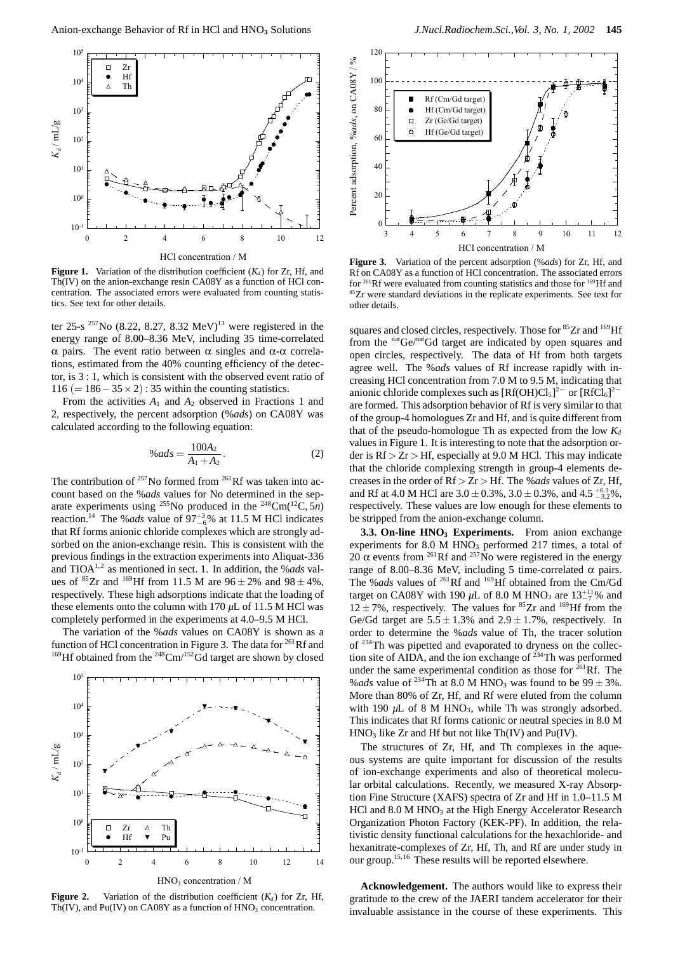

**Figure 1.** Variation of the distribution coefficient  $(K_d)$  for Zr, Hf, and Th(IV) on the anion-exchange resin CA08Y as a function of HCl concentration. The associated errors were evaluated from counting statistics. See text for other details.

ter 25-s <sup>257</sup>No (8.22, 8.27, 8.32 MeV)<sup>13</sup> were registered in the energy range of 8.00–8.36 MeV, including 35 time-correlated α pairs. The event ratio between α singles and α-α correlations, estimated from the 40% counting efficiency of the detector, is 3 : 1, which is consistent with the observed event ratio of 116 (=  $186 - 35 \times 2$ ) : 35 within the counting statistics.

From the activities *A*<sup>1</sup> and *A*<sup>2</sup> observed in Fractions 1 and 2, respectively, the percent adsorption (%*ads*) on CA08Y was calculated according to the following equation:

$$
\%ads = \frac{100A_2}{A_1 + A_2}.
$$
 (2)

The contribution of  $^{257}$ No formed from  $^{261}$ Rf was taken into account based on the %*ads* values for No determined in the separate experiments using <sup>255</sup>No produced in the <sup>248</sup>Cm( $^{12}C, 5n$ ) reaction.<sup>14</sup> The %*ads* value of  $97^{+3}_{-6}$ % at 11.5 M HCl indicates that Rf forms anionic chloride complexes which are strongly adsorbed on the anion-exchange resin. This is consistent with the previous findings in the extraction experiments into Aliquat-336 and TIOA1,2 as mentioned in sect. 1. In addition, the %*ads* values of  ${}^{85}Zr$  and  ${}^{169}Hf$  from 11.5 M are  $96 \pm 2\%$  and  $98 \pm 4\%$ , respectively. These high adsorptions indicate that the loading of these elements onto the column with 170 *µ*L of 11.5 M HCl was completely performed in the experiments at 4.0–9.5 M HCl.

The variation of the %*ads* values on CA08Y is shown as a function of HCl concentration in Figure 3. The data for  $^{261}$ Rf and <sup>169</sup>Hf obtained from the <sup>248</sup>Cm/<sup>152</sup>Gd target are shown by closed



**Figure 2.** Variation of the distribution coefficient  $(K_d)$  for Zr, Hf, Th(IV), and Pu(IV) on CA08Y as a function of  $HNO<sub>3</sub>$  concentration.



**Figure 3.** Variation of the percent adsorption (%*ads*) for Zr, Hf, and Rf on CA08Y as a function of HCl concentration. The associated errors for 261Rf were evaluated from counting statistics and those for 169Hf and <sup>85</sup>Zr were standard deviations in the replicate experiments. See text for other details.

squares and closed circles, respectively. Those for <sup>85</sup>Zr and <sup>169</sup>Hf from the  $n^{\text{nat}}\text{Ge}/n^{\text{nat}}\text{Gd}$  target are indicated by open squares and open circles, respectively. The data of Hf from both targets agree well. The %*ads* values of Rf increase rapidly with increasing HCl concentration from 7.0 M to 9.5 M, indicating that anionic chloride complexes such as  $[Rf(OH)Cl<sub>5</sub>]<sup>2–</sup>$  or  $[RfCl<sub>6</sub>]<sup>2–</sup>$ are formed. This adsorption behavior of Rf is very similar to that of the group-4 homologues Zr and Hf, and is quite different from that of the pseudo-homologue Th as expected from the low  $K_d$ values in Figure 1. It is interesting to note that the adsorption order is Rf *>* Zr *>* Hf, especially at 9.0 M HCl. This may indicate that the chloride complexing strength in group-4 elements decreases in the order of Rf *>* Zr *>* Hf. The %*ads* values of Zr, Hf, and Rf at 4.0 M HCl are  $3.0 \pm 0.3\%$ ,  $3.0 \pm 0.3\%$ , and  $4.5^{+6.3}_{-3.2}\%$ , respectively. These values are low enough for these elements to be stripped from the anion-exchange column.

**3.3. On-line HNO<sub>3</sub> Experiments.** From anion exchange experiments for  $8.0 \text{ M HNO}_3$  performed 217 times, a total of 20  $\alpha$  events from <sup>261</sup>Rf and <sup>257</sup>No were registered in the energy range of 8.00–8.36 MeV, including 5 time-correlated α pairs. The %*ads* values of 261Rf and 169Hf obtained from the Cm/Gd target on CA08Y with 190  $\mu$ L of 8.0 M HNO<sub>3</sub> are  $13^{+11}_{-7}\%$  and  $12 \pm 7$ %, respectively. The values for <sup>85</sup>Zr and <sup>169</sup>Hf from the Ge/Gd target are  $5.5 \pm 1.3\%$  and  $2.9 \pm 1.7\%$ , respectively. In order to determine the %*ads* value of Th, the tracer solution of 234Th was pipetted and evaporated to dryness on the collection site of AIDA, and the ion exchange of  $^{234}$ Th was performed under the same experimental condition as those for  $^{261}$ Rf. The %*ads* value of <sup>234</sup>Th at 8.0 M HNO<sub>3</sub> was found to be  $99 \pm 3\%$ . More than 80% of Zr, Hf, and Rf were eluted from the column with 190  $\mu$ L of 8 M HNO<sub>3</sub>, while Th was strongly adsorbed. This indicates that Rf forms cationic or neutral species in 8.0 M  $HNO<sub>3</sub>$  like Zr and Hf but not like Th(IV) and Pu(IV).

The structures of Zr, Hf, and Th complexes in the aqueous systems are quite important for discussion of the results of ion-exchange experiments and also of theoretical molecular orbital calculations. Recently, we measured X-ray Absorption Fine Structure (XAFS) spectra of Zr and Hf in 1.0–11.5 M HCl and 8.0 M HNO<sub>3</sub> at the High Energy Accelerator Research Organization Photon Factory (KEK-PF). In addition, the relativistic density functional calculations for the hexachloride- and hexanitrate-complexes of Zr, Hf, Th, and Rf are under study in our group.<sup>15,16</sup> These results will be reported elsewhere.

**Acknowledgement.** The authors would like to express their gratitude to the crew of the JAERI tandem accelerator for their invaluable assistance in the course of these experiments. This